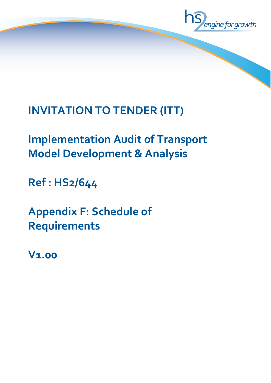

# **INVITATION TO TENDER (ITT)**

# **Implementation Audit of Transport Model Development & Analysis**

**Ref : HS2/644**

**Appendix F: Schedule of Requirements**

**V1.00**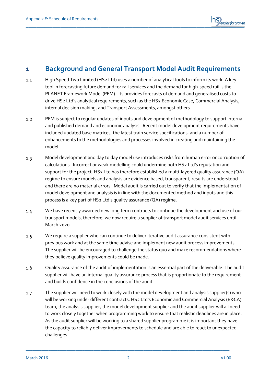

## **1 Background and General Transport Model Audit Requirements**

- High Speed Two Limited (HS2 Ltd) uses a number of analytical tools to inform its work. A key  $1.1$ tool in forecasting future demand for rail services and the demand for high-speed rail is the PLANET Framework Model (PFM). Its provides forecasts of demand and generalised costs to drive HS2 Ltd's analytical requirements, such as the HS2 Economic Case, Commercial Analysis, internal decision making, and Transport Assessments, amongst others.
- PFM is subject to regular updates of inputs and development of methodology to support internal  $1.2$ and published demand and economic analysis. Recent model development requirements have included updated base matrices, the latest train service specifications, and a number of enhancements to the methodologies and processes involved in creating and maintaining the model.
- Model development and day to day model use introduces risks from human error or corruption of  $1.3$ calculations. Incorrect or weak modelling could undermine both HS2 Ltd's reputation and support for the project. HS2 Ltd has therefore established a multi-layered quality assurance (QA) regime to ensure models and analysis are evidence based, transparent, results are understood and there are no material errors. Model audit is carried out to verify that the implementation of model development and analysis is in line with the documented method and inputs and this process is a key part of HS2 Ltd's quality assurance (QA) regime.
- $1.4$ We have recently awarded new long term contracts to continue the development and use of our transport models, therefore, we now require a supplier of transport model audit services until March 2020.
- We require a supplier who can continue to deliver iterative audit assurance consistent with  $1.5$ previous work and at the same time advise and implement new audit process improvements. The supplier will be encouraged to challenge the status quo and make recommendations where they believe quality improvements could be made.
- Quality assurance of the audit of implementation is an essential part of the deliverable. The audit  $1.6$ supplier will have an internal quality assurance process that is proportionate to the requirement and builds confidence in the conclusions of the audit.
- The supplier will need to work closely with the model development and analysis supplier(s) who  $1.7$ will be working under different contracts. HS2 Ltd's Economic and Commercial Analysis (E&CA) team, the analysis supplier, the model development supplier and the audit supplier will all need to work closely together when programming work to ensure that realistic deadlines are in place. As the audit supplier will be working to a shared supplier programme it is important they have the capacity to reliably deliver improvements to schedule and are able to react to unexpected challenges.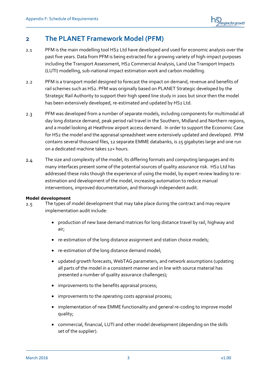

### **2 The PLANET Framework Model (PFM)**

- PFM is the main modelling tool HS2 Ltd have developed and used for economic analysis over the  $2.1$ past five years. Data from PFM is being extracted for a growing variety of high-impact purposes including the Transport Assessment, HS2 Commercial Analysis, Land Use Transport Impacts (LUTI) modelling, sub-national impact estimation work and carbon modelling.
- PFM is a transport model designed to forecast the impact on demand, revenue and benefits of  $2.2$ rail schemes such as HS2. PFM was originally based on PLANET Strategic developed by the Strategic Rail Authority to support their high speed line study in 2001 but since then the model has been extensively developed, re-estimated and updated by HS2 Ltd.
- $2.3$ PFM was developed from a number of separate models, including components for multimodal all day long distance demand, peak period rail travel in the Southern, Midland and Northern regions, and a model looking at Heathrow airport access demand. In order to support the Economic Case for HS2 the model and the appraisal spreadsheet were extensively updated and developed. PFM contains several thousand files, 12 separate EMME databanks, is 25 gigabytes large and one run on a dedicated machine takes 12+ hours.
- The size and complexity of the model, its differing formats and computing languages and its  $2.4$ many interfaces present some of the potential sources of quality assurance risk. HS2 Ltd has addressed these risks though the experience of using the model, by expert review leading to reestimation and development of the model, increasing automation to reduce manual interventions, improved documentation, and thorough independent audit.

#### **Model development**

- The types of model development that may take place during the contract and may require  $2.5$ implementation audit include:
	- production of new base demand matrices for long distance travel by rail, highway and air;
	- re-estimation of the long distance assignment and station choice models;
	- re-estimation of the long distance demand model;
	- updated growth forecasts, WebTAG parameters, and network assumptions (updating all parts of the model in a consistent manner and in line with source material has presented a number of quality assurance challenges);
	- improvements to the benefits appraisal process;
	- improvements to the operating costs appraisal process;
	- implementation of new EMME functionality and general re-coding to improve model quality;
	- commercial, financial, LUTI and other model development (depending on the skills set of the supplier).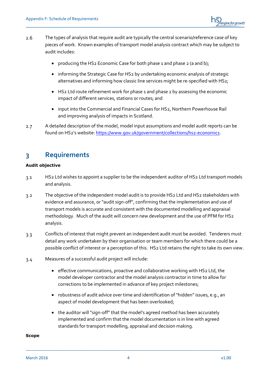

- The types of analysis that require audit are typically the central scenario/reference case of key  $2.6$ pieces of work. Known examples of transport model analysis contract which may be subject to audit includes:
	- producing the HS2 Economic Case for both phase 1 and phase 2 (a and b);
	- informing the Strategic Case for HS2 by undertaking economic analysis of strategic alternatives and informing how classic line services might be re-specified with HS2;
	- HS2 Ltd route refinement work for phase 1 and phase 2 by assessing the economic impact of different services, stations or routes; and
	- input into the Commercial and Financial Cases for HS2, Northern Powerhouse Rail and improving analysis of impacts in Scotland.
- A detailed description of the model, model input assumptions and model audit reports can be  $2.7$ found on HS2's website[: https://www.gov.uk/government/collections/hs2-economics.](https://www.gov.uk/government/collections/hs2-economics)

## **3 Requirements**

#### **Audit objective**

- HS2 Ltd wishes to appoint a supplier to be the independent auditor of HS2 Ltd transport models  $3.1$ and analysis.
- The objective of the independent model audit is to provide HS2 Ltd and HS2 stakeholders with  $3.2$ evidence and assurance, or "audit sign-off", confirming that the implementation and use of transport models is accurate and consistent with the documented modelling and appraisal methodology. Much of the audit will concern new development and the use of PFM for HS2 analysis.
- Conflicts of interest that might prevent an independent audit must be avoided. Tenderers must  $3.3$ detail any work undertaken by their organisation or team members for which there could be a possible conflict of interest or a perception of this. HS2 Ltd retains the right to take its own view.
- Measures of a successful audit project will include:  $3.4$ 
	- effective communications, proactive and collaborative working with HS2 Ltd, the model developer contractor and the model analysis contractor in time to allow for corrections to be implemented in advance of key project milestones;
	- robustness of audit advice over time and identification of "hidden" issues, e.g., an aspect of model development that has been overlooked;
	- the auditor will "sign-off" that the model's agreed method has been accurately implemented and confirm that the model documentation is in line with agreed standards for transport modelling, appraisal and decision making.

#### **Scope**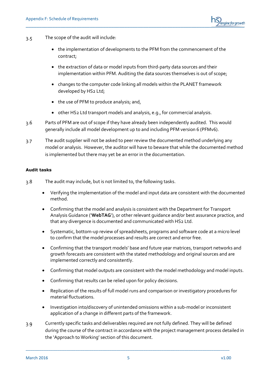

- The scope of the audit will include:  $3.5$ 
	- the implementation of developments to the PFM from the commencement of the contract;
	- the extraction of data or model inputs from third-party data sources and their implementation within PFM. Auditing the data sources themselves is out of scope;
	- changes to the computer code linking all models within the PLANET framework developed by HS2 Ltd;
	- the use of PFM to produce analysis; and,
	- other HS2 Ltd transport models and analysis, e.g., for commercial analysis.
- $3.6$ Parts of PFM are out of scope if they have already been independently audited. This would generally include all model development up to and including PFM version 6 (PFMv6).
- The audit supplier will not be asked to peer review the documented method underlying any  $3.7$ model or analysis. However, the auditor will have to beware that while the documented method is implemented but there may yet be an error in the documentation.

#### **Audit tasks**

- The audit may include, but is not limited to, the following tasks.  $3.8$ 
	- Verifying the implementation of the model and input data are consistent with the documented method.
	- Confirming that the model and analysis is consistent with the Department for Transport Analysis Guidance ('**WebTAG**'), or other relevant guidance and/or best assurance practice, and that any divergence is documented and communicated with HS2 Ltd.
	- Systematic, bottom-up review of spreadsheets, programs and software code at a micro level to confirm that the model processes and results are correct and error free.
	- Confirming that the transport models' base and future year matrices, transport networks and growth forecasts are consistent with the stated methodology and original sources and are implemented correctly and consistently.
	- Confirming that model outputs are consistent with the model methodology and model inputs.
	- Confirming that results can be relied upon for policy decisions.
	- Replication of the results of full model runs and comparison or investigatory procedures for material fluctuations.
	- Investigation into/discovery of unintended omissions within a sub-model or inconsistent application of a change in different parts of the framework.
- Currently specific tasks and deliverables required are not fully defined. They will be defined  $3.9$ during the course of the contract in accordance with the project management process detailed in the 'Approach to Working' section of this document.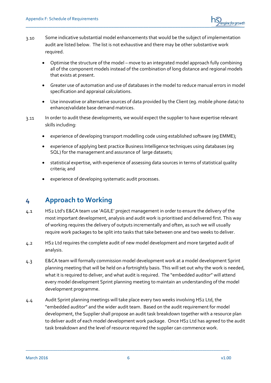

- Some indicative substantial model enhancements that would be the subject of implementation  $3.10$ audit are listed below. The list is not exhaustive and there may be other substantive work required.
	- Optimise the structure of the model move to an integrated model approach fully combining all of the component models instead of the combination of long distance and regional models that exists at present.
	- Greater use of automation and use of databases in the model to reduce manual errors in model specification and appraisal calculations.
	- Use innovative or alternative sources of data provided by the Client (eg. mobile phone data) to enhance/validate base demand matrices.
- In order to audit these developments, we would expect the supplier to have expertise relevant  $3.11$ skills including:
	- experience of developing transport modelling code using established software (eg EMME);
	- experience of applying best practice Business Intelligence techniques using databases (eg SQL) for the management and assurance of large datasets;
	- statistical expertise, with experience of assessing data sources in terms of statistical quality criteria; and
	- experience of developing systematic audit processes.

## **4 Approach to Working**

- HS2 Ltd's E&CA team use 'AGILE' project management in order to ensure the delivery of the  $4.1$ most important development, analysis and audit work is prioritised and delivered first. This way of working requires the delivery of outputs incrementally and often, as such we will usually require work packages to be split into tasks that take between one and two weeks to deliver.
- HS2 Ltd requires the complete audit of new model development and more targeted audit of  $4.2$ analysis.
- E&CA team will formally commission model development work at a model development Sprint  $4.3$ planning meeting that will be held on a fortnightly basis. This will set out why the work is needed, what it is required to deliver, and what audit is required. The "embedded auditor" will attend every model development Sprint planning meeting to maintain an understanding of the model development programme.
- Audit Sprint planning meetings will take place every two weeks involving HS2 Ltd, the  $4.4$ "embedded auditor" and the wider audit team. Based on the audit requirement for model development, the Supplier shall propose an audit task breakdown together with a resource plan to deliver audit of each model development work package. Once HS2 Ltd has agreed to the audit task breakdown and the level of resource required the supplier can commence work.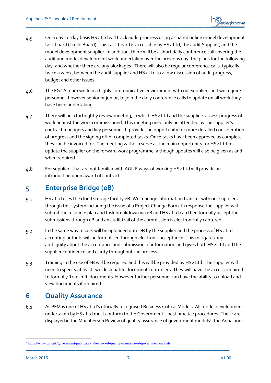- On a day-to-day basis HS2 Ltd will track audit progress using a shared online model development  $4.5$ task board (Trello Board). This task board is accessible by HS2 Ltd, the audit Supplier, and the model development supplier. In addition, there will be a short daily conference call covering the audit and model development work undertaken over the previous day, the plans for the following day, and whether there are any blockages. There will also be regular conference calls, typically twice a week, between the audit supplier and HS2 Ltd to allow discussion of audit progress, budget and other issues.
- $4.6$ The E&CA team work in a highly communicative environment with our suppliers and we require personnel, however senior or junior, to join the daily conference calls to update on all work they have been undertaking.
- There will be a fortnightly review meeting, in which HS2 Ltd and the suppliers assess progress of  $4.7$ work against the work commissioned. This meeting need only be attended by the supplier's contract managers and key personnel. It provides an opportunity for more detailed consideration of progress and the signing off of completed tasks. Once tasks have been approved as complete they can be invoiced for. The meeting will also serve as the main opportunity for HS2 Ltd to update the supplier on the forward work programme, although updates will also be given as and when required.
- For suppliers that are not familiar with AGILE ways of working HS2 Ltd will provide an 4.8 introduction upon award of contract.

# **5 Enterprise Bridge (eB)**

- HS2 Ltd uses the cloud storage facility eB. We manage information transfer with our suppliers  $5.1$ through this system including the issue of a Project Change Form. In response the supplier will submit the resource plan and task breakdown via eB and HS2 Ltd can then formally accept the submissions through eB and an audit trail of the commission is electronically captured.
- In the same way results will be uploaded onto eB by the supplier and the process of HS2 Ltd  $5.2$ accepting outputs will be formalised through electronic acceptance. This mitigates any ambiguity about the acceptance and submission of information and gives both HS2 Ltd and the supplier confidence and clarity throughout the process.
- Training in the use of eB will be required and this will be provided by HS2 Ltd. The supplier will  $5.3$ need to specify at least two designated document controllers. They will have the access required to formally 'transmit' documents. However further personnel can have the ability to upload and view documents if required.

## **6 Quality Assurance**

 $6.1$ As PFM is one of HS2 Ltd's officially recognised Business Critical Models. All model development undertaken by HS2 Ltd must conform to the Government's best practice procedures. These are displayed in the Macpherson Review of quality assurance of government models<sup>1</sup>, the Aqua book

<sup>1</sup> <sup>1</sup> <https://www.gov.uk/government/publications/review-of-quality-assurance-of-government-models>